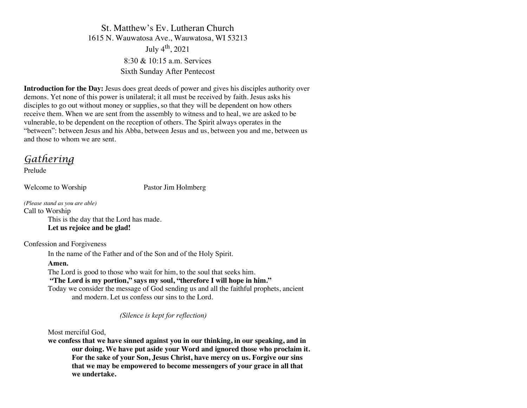St. Matthew's Ev. Lutheran Church 1615 N. Wauwatosa Ave., Wauwatosa, WI 53213 July  $4^{th}$ , 2021 8:30 & 10:15 a.m. Services Sixth Sunday After Pentecost

**Introduction for the Day:** Jesus does great deeds of power and gives his disciples authority over demons. Yet none of this power is unilateral; it all must be received by faith. Jesus asks his disciples to go out without money or supplies, so that they will be dependent on how others receive them. When we are sent from the assembly to witness and to heal, we are asked to be vulnerable, to be dependent on the reception of others. The Spirit always operates in the "between": between Jesus and his Abba, between Jesus and us, between you and me, between us and those to whom we are sent.

# *Gathering*

Prelude

Welcome to Worship Pastor Jim Holmberg

*(Please stand as you are able)* Call to Worship This is the day that the Lord has made. **Let us rejoice and be glad!**

Confession and Forgiveness

In the name of the Father and of the Son and of the Holy Spirit.

# **Amen.**

The Lord is good to those who wait for him, to the soul that seeks him.

**"The Lord is my portion," says my soul, "therefore I will hope in him."**

Today we consider the message of God sending us and all the faithful prophets, ancient and modern. Let us confess our sins to the Lord.

*(Silence is kept for reflection)*

Most merciful God,

**we confess that we have sinned against you in our thinking, in our speaking, and in our doing. We have put aside your Word and ignored those who proclaim it. For the sake of your Son, Jesus Christ, have mercy on us. Forgive our sins that we may be empowered to become messengers of your grace in all that we undertake.**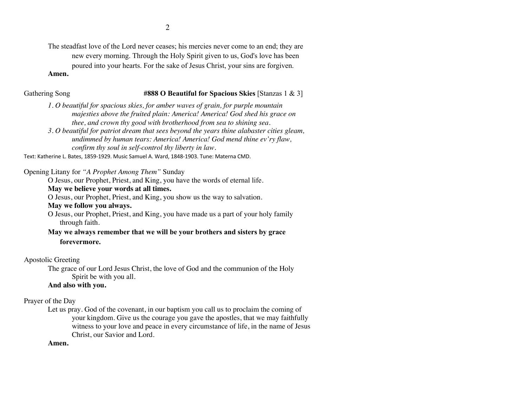The steadfast love of the Lord never ceases; his mercies never come to an end; they are new every morning. Through the Holy Spirit given to us, God's love has been poured into your hearts. For the sake of Jesus Christ, your sins are forgiven.

#### **Amen.**

#### Gathering Song **#888 O Beautiful for Spacious Skies** [Stanzas 1 & 3]

- *1. O beautiful for spacious skies, for amber waves of grain, for purple mountain majesties above the fruited plain: America! America! God shed his grace on thee, and crown thy good with brotherhood from sea to shining sea.*
- *3. O beautiful for patriot dream that sees beyond the years thine alabaster cities gleam, undimmed by human tears: America! America! God mend thine ev'ry flaw, confirm thy soul in self-control thy liberty in law.*

Text: Katherine L. Bates, 1859-1929. Music Samuel A. Ward, 1848-1903. Tune: Materna CMD.

Opening Litany for *"A Prophet Among Them"* Sunday

O Jesus, our Prophet, Priest, and King, you have the words of eternal life.

# **May we believe your words at all times.**

O Jesus, our Prophet, Priest, and King, you show us the way to salvation.

# **May we follow you always.**

O Jesus, our Prophet, Priest, and King, you have made us a part of your holy family through faith.

# **May we always remember that we will be your brothers and sisters by grace forevermore.**

#### Apostolic Greeting

The grace of our Lord Jesus Christ, the love of God and the communion of the Holy Spirit be with you all.

### **And also with you.**

#### Prayer of the Day

Let us pray. God of the covenant, in our baptism you call us to proclaim the coming of your kingdom. Give us the courage you gave the apostles, that we may faithfully witness to your love and peace in every circumstance of life, in the name of Jesus Christ, our Savior and Lord.

# **Amen.**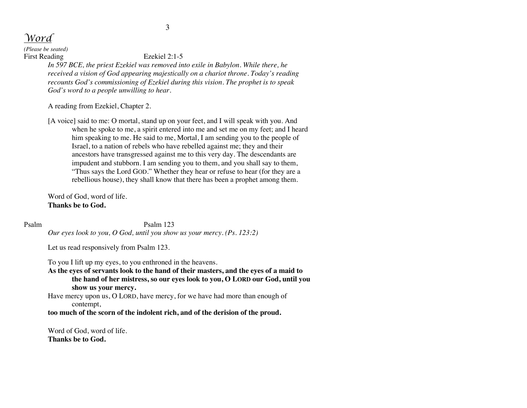*Word*

*(Please be seated)* First Reading Ezekiel 2:1-5

*In 597 BCE, the priest Ezekiel was removed into exile in Babylon. While there, he received a vision of God appearing majestically on a chariot throne. Today's reading recounts God's commissioning of Ezekiel during this vision. The prophet is to speak God's word to a people unwilling to hear.*

A reading from Ezekiel, Chapter 2.

[A voice] said to me: O mortal, stand up on your feet, and I will speak with you. And when he spoke to me, a spirit entered into me and set me on my feet; and I heard him speaking to me. He said to me, Mortal, I am sending you to the people of Israel, to a nation of rebels who have rebelled against me; they and their ancestors have transgressed against me to this very day. The descendants are impudent and stubborn. I am sending you to them, and you shall say to them, "Thus says the Lord GOD." Whether they hear or refuse to hear (for they are a rebellious house), they shall know that there has been a prophet among them.

Word of God, word of life. **Thanks be to God.**

#### Psalm Psalm 123

*Our eyes look to you, O God, until you show us your mercy. (Ps. 123:2)*

Let us read responsively from Psalm 123.

To you I lift up my eyes, to you enthroned in the heavens.

**As the eyes of servants look to the hand of their masters, and the eyes of a maid to the hand of her mistress, so our eyes look to you, O LORD our God, until you show us your mercy.**

Have mercy upon us, O LORD, have mercy, for we have had more than enough of contempt,

**too much of the scorn of the indolent rich, and of the derision of the proud.**

Word of God, word of life. **Thanks be to God.**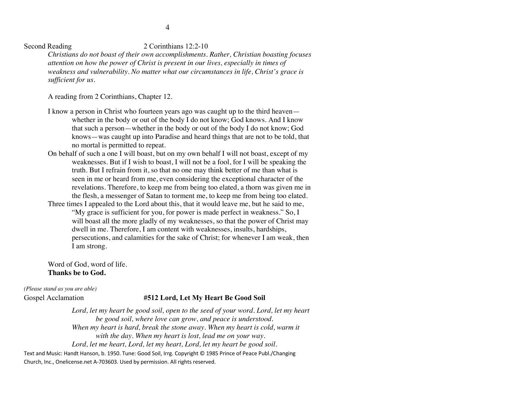Second Reading 2 Corinthians 12:2-10

*Christians do not boast of their own accomplishments. Rather, Christian boasting focuses attention on how the power of Christ is present in our lives, especially in times of weakness and vulnerability. No matter what our circumstances in life, Christ's grace is sufficient for us.*

A reading from 2 Corinthians, Chapter 12.

- I know a person in Christ who fourteen years ago was caught up to the third heaven whether in the body or out of the body I do not know; God knows. And I know that such a person—whether in the body or out of the body I do not know; God knows—was caught up into Paradise and heard things that are not to be told, that no mortal is permitted to repeat.
- On behalf of such a one I will boast, but on my own behalf I will not boast, except of my weaknesses. But if I wish to boast, I will not be a fool, for I will be speaking the truth. But I refrain from it, so that no one may think better of me than what is seen in me or heard from me, even considering the exceptional character of the revelations. Therefore, to keep me from being too elated, a thorn was given me in the flesh, a messenger of Satan to torment me, to keep me from being too elated. Three times I appealed to the Lord about this, that it would leave me, but he said to me, "My grace is sufficient for you, for power is made perfect in weakness." So, I

will boast all the more gladly of my weaknesses, so that the power of Christ may dwell in me. Therefore, I am content with weaknesses, insults, hardships, persecutions, and calamities for the sake of Christ; for whenever I am weak, then I am strong.

Word of God, word of life. **Thanks be to God.**

*(Please stand as you are able)*

# Gospel Acclamation **#512 Lord, Let My Heart Be Good Soil**

Lord, let my heart be good soil, open to the seed of your word. Lord, let my heart *be good soil, where love can grow, and peace is understood. When my heart is hard, break the stone away. When my heart is cold, warm it with the day. When my heart is lost, lead me on your way. Lord, let me heart, Lord, let my heart, Lord, let my heart be good soil.*

Text and Music: Handt Hanson, b. 1950. Tune: Good Soil, Irrg. Copyright © 1985 Prince of Peace Publ./Changing Church, Inc., Onelicense.net A-703603. Used by permission. All rights reserved.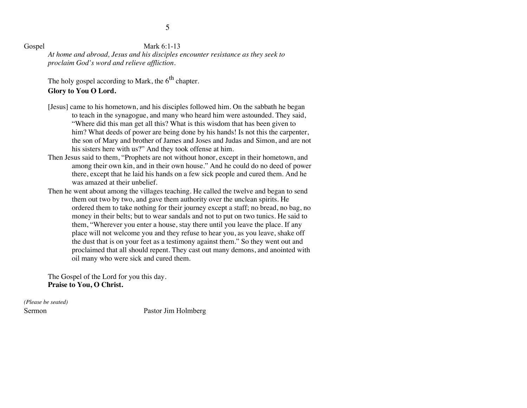# Gospel Mark 6:1-13

*At home and abroad, Jesus and his disciples encounter resistance as they seek to proclaim God's word and relieve affliction.*

The holy gospel according to Mark, the  $6<sup>th</sup>$  chapter.

# **Glory to You O Lord.**

- [Jesus] came to his hometown, and his disciples followed him. On the sabbath he began to teach in the synagogue, and many who heard him were astounded. They said, "Where did this man get all this? What is this wisdom that has been given to him? What deeds of power are being done by his hands! Is not this the carpenter, the son of Mary and brother of James and Joses and Judas and Simon, and are not his sisters here with us?" And they took offense at him.
- Then Jesus said to them, "Prophets are not without honor, except in their hometown, and among their own kin, and in their own house." And he could do no deed of power there, except that he laid his hands on a few sick people and cured them. And he was amazed at their unbelief.
- Then he went about among the villages teaching. He called the twelve and began to send them out two by two, and gave them authority over the unclean spirits. He ordered them to take nothing for their journey except a staff; no bread, no bag, no money in their belts; but to wear sandals and not to put on two tunics. He said to them, "Wherever you enter a house, stay there until you leave the place. If any place will not welcome you and they refuse to hear you, as you leave, shake off the dust that is on your feet as a testimony against them." So they went out and proclaimed that all should repent. They cast out many demons, and anointed with oil many who were sick and cured them.

The Gospel of the Lord for you this day. **Praise to You, O Christ.**

*(Please be seated)*

Sermon Pastor Jim Holmberg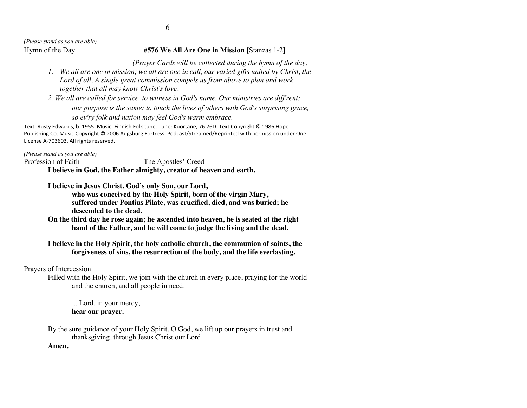*(Please stand as you are able)*

# Hymn of the Day **#576 We All Are One in Mission [**Stanzas 1-2]

 *(Prayer Cards will be collected during the hymn of the day)*

- *1. We all are one in mission; we all are one in call, our varied gifts united by Christ, the Lord of all. A single great commission compels us from above to plan and work together that all may know Christ's love.*
- *2. We all are called for service, to witness in God's name. Our ministries are diff'rent; our purpose is the same: to touch the lives of others with God's surprising grace, so ev'ry folk and nation may feel God's warm embrace.*

Text: Rusty Edwards, b. 1955. Music: Finnish Folk tune. Tune: Kuortane, 76 76D. Text Copyright © 1986 Hope Publishing Co. Music Copyright © 2006 Augsburg Fortress. Podcast/Streamed/Reprinted with permission under One License A-703603. All rights reserved.

*(Please stand as you are able)*

Profession of Faith The Apostles' Creed

**I believe in God, the Father almighty, creator of heaven and earth.**

**I believe in Jesus Christ, God's only Son, our Lord,**

**who was conceived by the Holy Spirit, born of the virgin Mary, suffered under Pontius Pilate, was crucified, died, and was buried; he descended to the dead.**

**On the third day he rose again; he ascended into heaven, he is seated at the right hand of the Father, and he will come to judge the living and the dead.**

# **I believe in the Holy Spirit, the holy catholic church, the communion of saints, the forgiveness of sins, the resurrection of the body, and the life everlasting.**

# Prayers of Intercession

Filled with the Holy Spirit, we join with the church in every place, praying for the world and the church, and all people in need.

... Lord, in your mercy, **hear our prayer.**

By the sure guidance of your Holy Spirit, O God, we lift up our prayers in trust and thanksgiving, through Jesus Christ our Lord.

# **Amen.**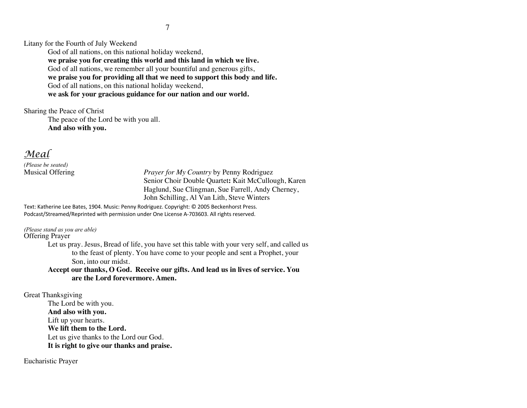7

Litany for the Fourth of July Weekend

God of all nations, on this national holiday weekend, **we praise you for creating this world and this land in which we live.** God of all nations, we remember all your bountiful and generous gifts, **we praise you for providing all that we need to support this body and life.** God of all nations, on this national holiday weekend, **we ask for your gracious guidance for our nation and our world.**

Sharing the Peace of Christ

The peace of the Lord be with you all. **And also with you.**

*Meal*

*(Please be seated)*

Musical Offering *Prayer for My Country* by Penny Rodriguez Senior Choir Double Quartet**:** Kait McCullough, Karen Haglund, Sue Clingman, Sue Farrell, Andy Cherney, John Schilling, Al Van Lith, Steve Winters

Text: Katherine Lee Bates, 1904. Music: Penny Rodriguez. Copyright: © 2005 Beckenhorst Press. Podcast/Streamed/Reprinted with permission under One License A-703603. All rights reserved.

*(Please stand as you are able)* Offering Prayer

> Let us pray. Jesus, Bread of life, you have set this table with your very self, and called us to the feast of plenty. You have come to your people and sent a Prophet, your Son, into our midst.

**Accept our thanks, O God. Receive our gifts. And lead us in lives of service. You are the Lord forevermore. Amen.**

Great Thanksgiving

The Lord be with you. **And also with you.** Lift up your hearts. **We lift them to the Lord.** Let us give thanks to the Lord our God. **It is right to give our thanks and praise.**

Eucharistic Prayer